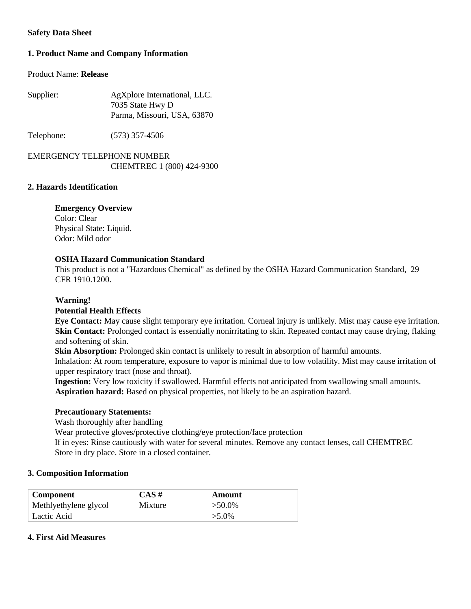# **Safety Data Sheet**

# **1. Product Name and Company Information**

### Product Name: **Release**

| AgXplore International, LLC. |
|------------------------------|
| 7035 State Hwy D             |
| Parma, Missouri, USA, 63870  |
|                              |

Telephone: (573) 357-4506

# EMERGENCY TELEPHONE NUMBER CHEMTREC 1 (800) 424-9300

# **2. Hazards Identification**

# **Emergency Overview**

Color: Clear Physical State: Liquid. Odor: Mild odor

### **OSHA Hazard Communication Standard**

This product is not a "Hazardous Chemical" as defined by the OSHA Hazard Communication Standard, 29 CFR 1910.1200.

## **Warning!**

### **Potential Health Effects**

**Eye Contact:** May cause slight temporary eye irritation. Corneal injury is unlikely. Mist may cause eye irritation. **Skin Contact:** Prolonged contact is essentially nonirritating to skin. Repeated contact may cause drying, flaking and softening of skin.

**Skin Absorption:** Prolonged skin contact is unlikely to result in absorption of harmful amounts.

Inhalation: At room temperature, exposure to vapor is minimal due to low volatility. Mist may cause irritation of upper respiratory tract (nose and throat).

**Ingestion:** Very low toxicity if swallowed. Harmful effects not anticipated from swallowing small amounts. **Aspiration hazard:** Based on physical properties, not likely to be an aspiration hazard.

### **Precautionary Statements:**

Wash thoroughly after handling

Wear protective gloves/protective clothing/eye protection/face protection

If in eyes: Rinse cautiously with water for several minutes. Remove any contact lenses, call CHEMTREC Store in dry place. Store in a closed container.

### **3. Composition Information**

| <b>Component</b>      | $CAS \#$ | Amount    |
|-----------------------|----------|-----------|
| Methlyethylene glycol | Mixture  | $>50.0\%$ |
| Lactic Acid           |          | $>5.0\%$  |

### **4. First Aid Measures**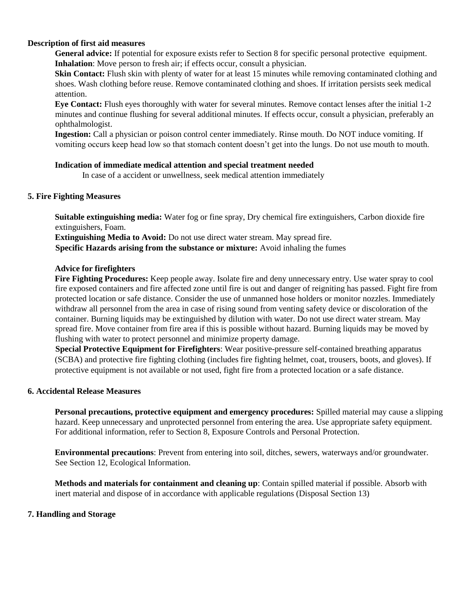### **Description of first aid measures**

**General advice:** If potential for exposure exists refer to Section 8 for specific personal protective equipment. **Inhalation**: Move person to fresh air; if effects occur, consult a physician.

**Skin Contact:** Flush skin with plenty of water for at least 15 minutes while removing contaminated clothing and shoes. Wash clothing before reuse. Remove contaminated clothing and shoes. If irritation persists seek medical attention.

**Eye Contact:** Flush eyes thoroughly with water for several minutes. Remove contact lenses after the initial 1-2 minutes and continue flushing for several additional minutes. If effects occur, consult a physician, preferably an ophthalmologist.

**Ingestion:** Call a physician or poison control center immediately. Rinse mouth. Do NOT induce vomiting. If vomiting occurs keep head low so that stomach content doesn't get into the lungs. Do not use mouth to mouth.

### **Indication of immediate medical attention and special treatment needed**

In case of a accident or unwellness, seek medical attention immediately

# **5. Fire Fighting Measures**

**Suitable extinguishing media:** Water fog or fine spray, Dry chemical fire extinguishers, Carbon dioxide fire extinguishers, Foam.

**Extinguishing Media to Avoid:** Do not use direct water stream. May spread fire. **Specific Hazards arising from the substance or mixture:** Avoid inhaling the fumes

## **Advice for firefighters**

**Fire Fighting Procedures:** Keep people away. Isolate fire and deny unnecessary entry. Use water spray to cool fire exposed containers and fire affected zone until fire is out and danger of reigniting has passed. Fight fire from protected location or safe distance. Consider the use of unmanned hose holders or monitor nozzles. Immediately withdraw all personnel from the area in case of rising sound from venting safety device or discoloration of the container. Burning liquids may be extinguished by dilution with water. Do not use direct water stream. May spread fire. Move container from fire area if this is possible without hazard. Burning liquids may be moved by flushing with water to protect personnel and minimize property damage.

**Special Protective Equipment for Firefighters**: Wear positive-pressure self-contained breathing apparatus (SCBA) and protective fire fighting clothing (includes fire fighting helmet, coat, trousers, boots, and gloves). If protective equipment is not available or not used, fight fire from a protected location or a safe distance.

# **6. Accidental Release Measures**

**Personal precautions, protective equipment and emergency procedures:** Spilled material may cause a slipping hazard. Keep unnecessary and unprotected personnel from entering the area. Use appropriate safety equipment. For additional information, refer to Section 8, Exposure Controls and Personal Protection.

**Environmental precautions**: Prevent from entering into soil, ditches, sewers, waterways and/or groundwater. See Section 12, Ecological Information.

**Methods and materials for containment and cleaning up**: Contain spilled material if possible. Absorb with inert material and dispose of in accordance with applicable regulations (Disposal Section 13)

# **7. Handling and Storage**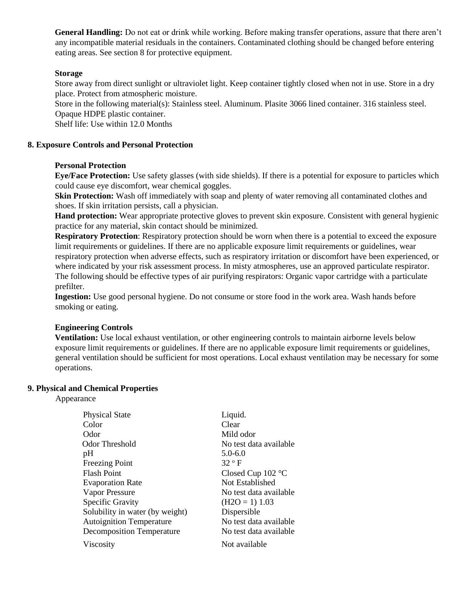**General Handling:** Do not eat or drink while working. Before making transfer operations, assure that there aren't any incompatible material residuals in the containers. Contaminated clothing should be changed before entering eating areas. See section 8 for protective equipment.

# **Storage**

Store away from direct sunlight or ultraviolet light. Keep container tightly closed when not in use. Store in a dry place. Protect from atmospheric moisture.

Store in the following material(s): Stainless steel. Aluminum. Plasite 3066 lined container. 316 stainless steel. Opaque HDPE plastic container.

Shelf life: Use within 12.0 Months

#### **8. Exposure Controls and Personal Protection**

#### **Personal Protection**

**Eye/Face Protection:** Use safety glasses (with side shields). If there is a potential for exposure to particles which could cause eye discomfort, wear chemical goggles.

**Skin Protection:** Wash off immediately with soap and plenty of water removing all contaminated clothes and shoes. If skin irritation persists, call a physician.

**Hand protection:** Wear appropriate protective gloves to prevent skin exposure. Consistent with general hygienic practice for any material, skin contact should be minimized.

**Respiratory Protection**: Respiratory protection should be worn when there is a potential to exceed the exposure limit requirements or guidelines. If there are no applicable exposure limit requirements or guidelines, wear respiratory protection when adverse effects, such as respiratory irritation or discomfort have been experienced, or where indicated by your risk assessment process. In misty atmospheres, use an approved particulate respirator. The following should be effective types of air purifying respirators: Organic vapor cartridge with a particulate prefilter.

**Ingestion:** Use good personal hygiene. Do not consume or store food in the work area. Wash hands before smoking or eating.

### **Engineering Controls**

**Ventilation:** Use local exhaust ventilation, or other engineering controls to maintain airborne levels below exposure limit requirements or guidelines. If there are no applicable exposure limit requirements or guidelines, general ventilation should be sufficient for most operations. Local exhaust ventilation may be necessary for some operations.

#### **9. Physical and Chemical Properties**

### Appearance

| <b>Physical State</b>            | Liquid.                |
|----------------------------------|------------------------|
| Color                            | Clear                  |
| Odor                             | Mild odor              |
| Odor Threshold                   | No test data available |
| pH                               | $5.0 - 6.0$            |
| <b>Freezing Point</b>            | $32°$ F                |
| <b>Flash Point</b>               | Closed Cup $102$ °C    |
| <b>Evaporation Rate</b>          | Not Established        |
| Vapor Pressure                   | No test data available |
| <b>Specific Gravity</b>          | $(H2O = 1) 1.03$       |
| Solubility in water (by weight)  | Dispersible            |
| <b>Autoignition Temperature</b>  | No test data available |
| <b>Decomposition Temperature</b> | No test data available |
| Viscosity                        | Not available          |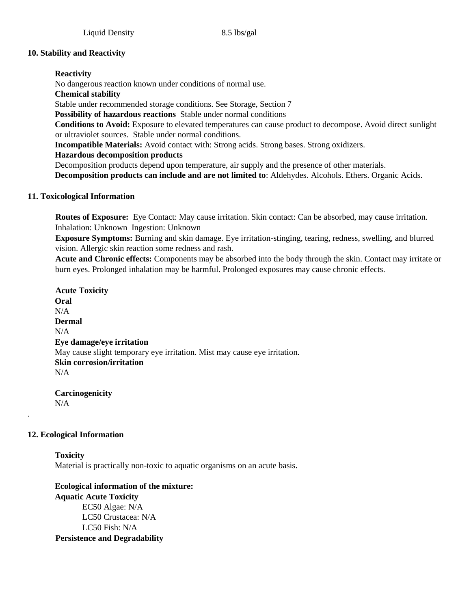# **10. Stability and Reactivity**

# **Reactivity**

No dangerous reaction known under conditions of normal use.

# **Chemical stability**

Stable under recommended storage conditions. See Storage, Section 7

**Possibility of hazardous reactions** Stable under normal conditions

**Conditions to Avoid:** Exposure to elevated temperatures can cause product to decompose. Avoid direct sunlight or ultraviolet sources. Stable under normal conditions.

**Incompatible Materials:** Avoid contact with: Strong acids. Strong bases. Strong oxidizers.

# **Hazardous decomposition products**

Decomposition products depend upon temperature, air supply and the presence of other materials.

**Decomposition products can include and are not limited to**: Aldehydes. Alcohols. Ethers. Organic Acids.

# **11. Toxicological Information**

**Routes of Exposure:** Eye Contact: May cause irritation. Skin contact: Can be absorbed, may cause irritation. Inhalation: Unknown Ingestion: Unknown

**Exposure Symptoms:** Burning and skin damage. Eye irritation-stinging, tearing, redness, swelling, and blurred vision. Allergic skin reaction some redness and rash.

**Acute and Chronic effects:** Components may be absorbed into the body through the skin. Contact may irritate or burn eyes. Prolonged inhalation may be harmful. Prolonged exposures may cause chronic effects.

**Acute Toxicity Oral**   $N/A$ **Dermal**   $N/A$ **Eye damage/eye irritation**  May cause slight temporary eye irritation. Mist may cause eye irritation. **Skin corrosion/irritation**  N/A

**Carcinogenicity**  N/A

# **12. Ecological Information**

.

**Toxicity**  Material is practically non-toxic to aquatic organisms on an acute basis.

**Ecological information of the mixture: Aquatic Acute Toxicity** EC50 Algae: N/A LC50 Crustacea: N/A LC50 Fish: N/A **Persistence and Degradability**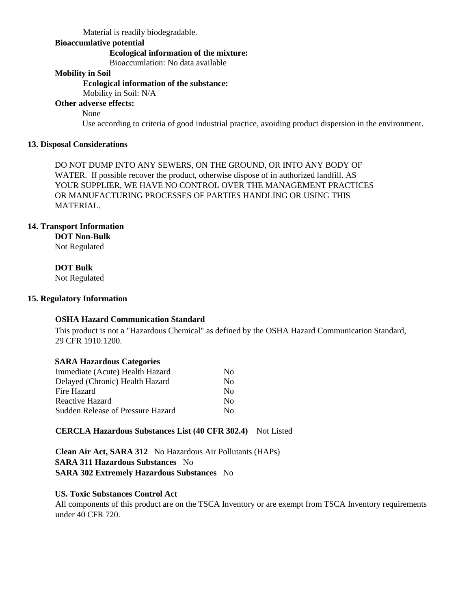Material is readily biodegradable.

### **Bioaccumlative potential**

### **Ecological information of the mixture:**

Bioaccumlation: No data available

## **Mobility in Soil**

### **Ecological information of the substance:**

Mobility in Soil: N/A

# **Other adverse effects:**

None

Use according to criteria of good industrial practice, avoiding product dispersion in the environment.

### **13. Disposal Considerations**

DO NOT DUMP INTO ANY SEWERS, ON THE GROUND, OR INTO ANY BODY OF WATER. If possible recover the product, otherwise dispose of in authorized landfill. AS YOUR SUPPLIER, WE HAVE NO CONTROL OVER THE MANAGEMENT PRACTICES OR MANUFACTURING PROCESSES OF PARTIES HANDLING OR USING THIS MATERIAL.

### **14. Transport Information**

**DOT Non-Bulk** 

Not Regulated

## **DOT Bulk**

Not Regulated

### **15. Regulatory Information**

# **OSHA Hazard Communication Standard**

This product is not a "Hazardous Chemical" as defined by the OSHA Hazard Communication Standard, 29 CFR 1910.1200.

### **SARA Hazardous Categories**

| Immediate (Acute) Health Hazard   | No.                    |
|-----------------------------------|------------------------|
| Delayed (Chronic) Health Hazard   | $\overline{N}$         |
| Fire Hazard                       | No.                    |
| Reactive Hazard                   | No.                    |
| Sudden Release of Pressure Hazard | $\mathbf{N}\mathbf{O}$ |

### **CERCLA Hazardous Substances List (40 CFR 302.4)** Not Listed

**Clean Air Act, SARA 312** No Hazardous Air Pollutants (HAPs) **SARA 311 Hazardous Substances** No **SARA 302 Extremely Hazardous Substances** No

### **US. Toxic Substances Control Act**

All components of this product are on the TSCA Inventory or are exempt from TSCA Inventory requirements under 40 CFR 720.